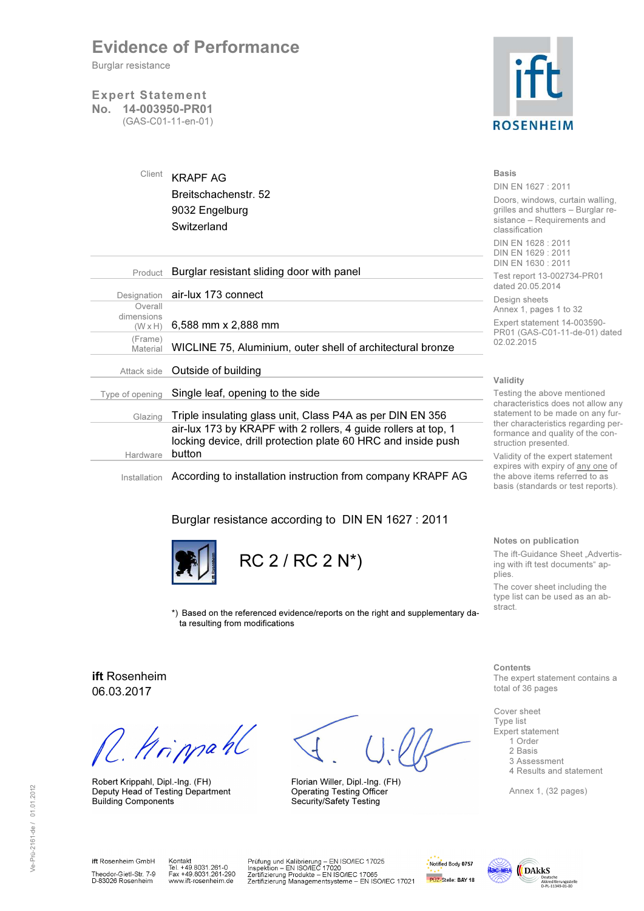## Evidence of Performance

Burglar resistance

## Expert Statement No. 14-003950-PR01

(GAS-C01-11-en-01)

**ROSENHEIM** 

| Client                | <b>KRAPF AG</b>                                                                                                                 | <b>Basis</b>                                                                                                                                                              |  |
|-----------------------|---------------------------------------------------------------------------------------------------------------------------------|---------------------------------------------------------------------------------------------------------------------------------------------------------------------------|--|
|                       |                                                                                                                                 | DIN EN 1627 : 2011                                                                                                                                                        |  |
|                       | Breitschachenstr. 52<br>9032 Engelburg                                                                                          | Doors, windows, curtain walling,<br>grilles and shutters - Burglar re-<br>sistance - Requirements and                                                                     |  |
|                       | Switzerland                                                                                                                     | classification                                                                                                                                                            |  |
|                       |                                                                                                                                 | DIN EN 1628 : 2011<br>DIN EN 1629 : 2011<br>DIN EN 1630 : 2011                                                                                                            |  |
| Product               | Burglar resistant sliding door with panel                                                                                       | Test report 13-002734-PR01<br>dated 20.05.2014                                                                                                                            |  |
| Designation           | air-lux 173 connect                                                                                                             | Design sheets                                                                                                                                                             |  |
| Overall<br>dimensions |                                                                                                                                 | Annex 1, pages 1 to 32                                                                                                                                                    |  |
| $(W \times H)$        | 6,588 mm x 2,888 mm                                                                                                             | Expert statement 14-003590-<br>PR01 (GAS-C01-11-de-01) dated                                                                                                              |  |
| (Frame)<br>Material   | WICLINE 75, Aluminium, outer shell of architectural bronze                                                                      | 02.02.2015                                                                                                                                                                |  |
| Attack side           | Outside of building                                                                                                             |                                                                                                                                                                           |  |
|                       |                                                                                                                                 | Validity                                                                                                                                                                  |  |
| Type of opening       | Single leaf, opening to the side                                                                                                | Testing the above mentioned                                                                                                                                               |  |
| Glazing               | Triple insulating glass unit, Class P4A as per DIN EN 356                                                                       | characteristics does not allow any<br>statement to be made on any fur-<br>ther characteristics regarding per-<br>formance and quality of the con-<br>struction presented. |  |
|                       | air-lux 173 by KRAPF with 2 rollers, 4 guide rollers at top, 1<br>locking device, drill protection plate 60 HRC and inside push |                                                                                                                                                                           |  |
| Hardware              | button                                                                                                                          | Validity of the expert statement                                                                                                                                          |  |
|                       |                                                                                                                                 | expires with expiry of any one of                                                                                                                                         |  |

Installation According to installation instruction from company KRAPF AG

Burglar resistance according to DIN EN 1627 : 2011



RC 2 / RC 2 N\*)

Notes on publication

**Contents** 

total of 36 pages

 Cover sheet Type list Expert statement 1 Order 2 Basis 3 Assessment

The ift-Guidance Sheet "Advertising with ift test documents" applies.

the above items referred to as basis (standards or test reports).

The cover sheet including the type list can be used as an abstract.

The expert statement contains a

4 Results and statement

Annex 1, (32 pages)

\*) Based on the referenced evidence/reports on the right and supplementary data resulting from modifications

ift Rosenheim 06.03.2017

Hrippahl

Robert Krippahl, Dipl.-Ing. (FH) Florian Willer, Dipl.-Ing. (FH) Deputy Head of Testing Department<br>
Building Components<br>
Security/Safety Testing

Security/Safety Testing





ift Rosenheim GmbH Theodor-Gietl-Str. 7-9<br>D-83026 Rosenheim

Kontakt<br>Tel. +49.8031.261-0<br>Fax +49.8031.261-290<br>www.ift-rosenheim.de

Prüfung und Kalibrierung – EN ISO/IEC 17025<br>Inspektion – EN ISO/IEC 17020<br>Zertifizierung Produkte – EN ISO/IEC 17065<br>Zertifizierung Managementsysteme – EN ISO/IEC 17021

PÜZ-Stelle: BAY 18